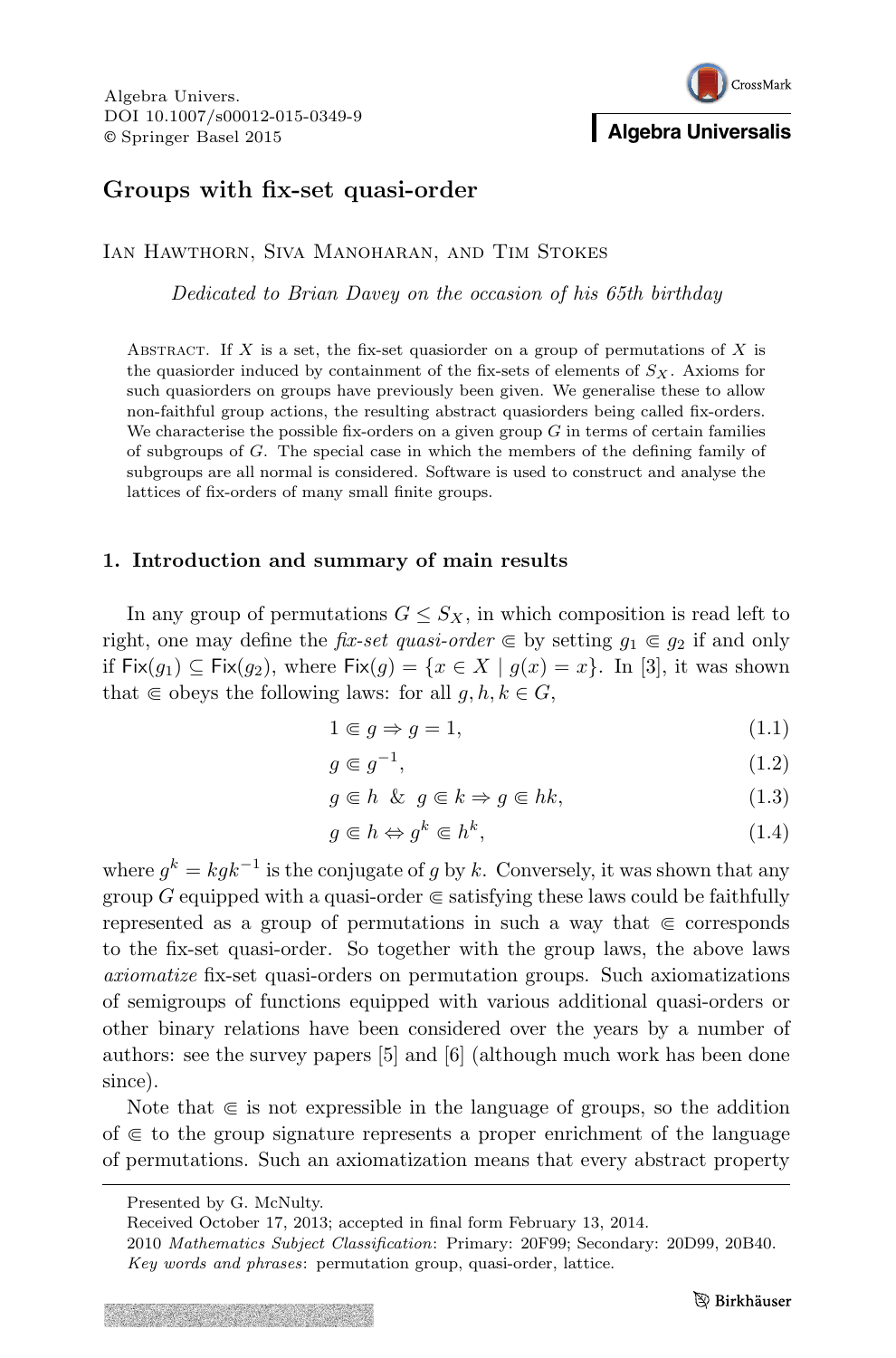# CrossMark **Algebra Universalis**

# Groups with fix-set quasi-order

Ian Hawthorn, Siva Manoharan, and Tim Stokes

Dedicated to Brian Davey on the occasion of his 65th birthday

ABSTRACT. If  $X$  is a set, the fix-set quasionation a group of permutations of  $X$  is the quasiorder induced by containment of the fix-sets of elements of  $S_X$ . Axioms for such quasiorders on groups have previously been given. We generalise these to allow non-faithful group actions, the resulting abstract quasiorders being called fix-orders. We characterise the possible fix-orders on a given group  $G$  in terms of certain families of subgroups of G. The special case in which the members of the defining family of subgroups are all normal is considered. Software is used to construct and analyse the lattices of fix-orders of many small finite groups.

# 1. Introduction and summary of main results

In any group of permutations  $G \leq S_X$ , in which composition is read left to right, one may define the *fix-set quasi-order*  $\in$  by setting  $g_1 \in g_2$  if and only if Fix $(g_1) \subseteq Fix(g_2)$ , where Fix $(g) = \{x \in X \mid g(x) = x\}$ . In [3], it was shown that  $\in$  obeys the following laws: for all  $g, h, k \in G$ ,

$$
1 \in g \Rightarrow g = 1,\tag{1.1}
$$

$$
g \in g^{-1},\tag{1.2}
$$

$$
g \in h \& g \in k \Rightarrow g \in hk,
$$
\n
$$
(1.3)
$$

$$
g \in h \Leftrightarrow g^k \in h^k,\tag{1.4}
$$

where  $g^k = k g k^{-1}$  is the conjugate of g by k. Conversely, it was shown that any group G equipped with a quasi-order  $\in$  satisfying these laws could be faithfully represented as a group of permutations in such a way that  $\in$  corresponds to the fix-set quasi-order. So together with the group laws, the above laws axiomatize fix-set quasi-orders on permutation groups. Such axiomatizations of semigroups of functions equipped with various additional quasi-orders or other binary relations have been considered over the years by a number of authors: see the survey papers [5] and [6] (although much work has been done since).

Note that  $\in$  is not expressible in the language of groups, so the addition of  $\in$  to the group signature represents a proper enrichment of the language of permutations. Such an axiomatization means that every abstract property

Presented by G. McNulty.

Received October 17, 2013; accepted in final form February 13, 2014.

<sup>2010</sup> Mathematics Subject Classification: Primary: 20F99; Secondary: 20D99, 20B40. Key words and phrases: permutation group, quasi-order, lattice.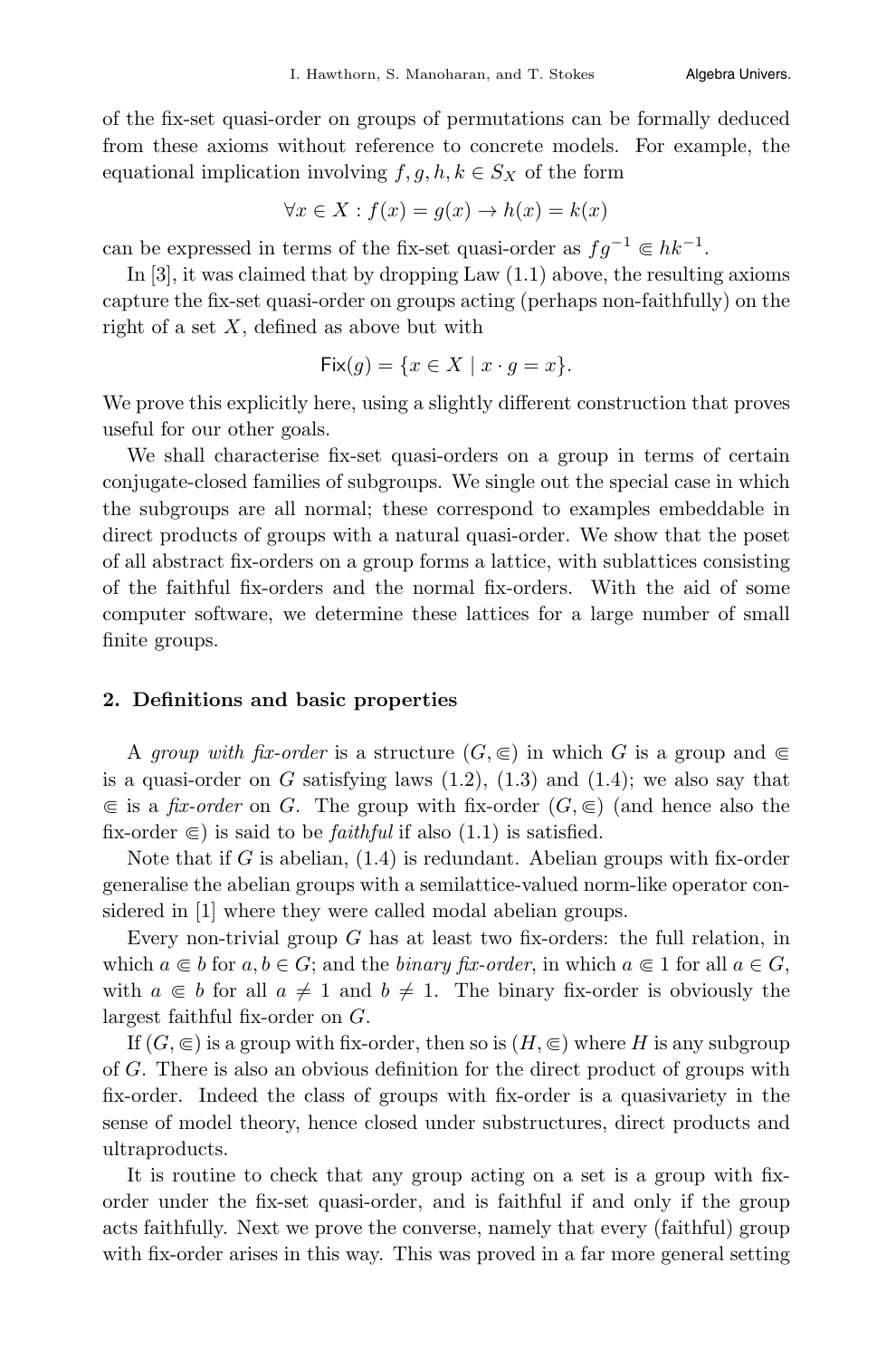of the fix-set quasi-order on groups of permutations can be formally deduced from these axioms without reference to concrete models. For example, the equational implication involving  $f, g, h, k \in S_X$  of the form

$$
\forall x \in X : f(x) = g(x) \to h(x) = k(x)
$$

can be expressed in terms of the fix-set quasi-order as  $fg^{-1} \in hk^{-1}$ .

In [3], it was claimed that by dropping Law (1.1) above, the resulting axioms capture the fix-set quasi-order on groups acting (perhaps non-faithfully) on the right of a set  $X$ , defined as above but with

$$
\mathsf{Fix}(g) = \{ x \in X \mid x \cdot g = x \}.
$$

We prove this explicitly here, using a slightly different construction that proves useful for our other goals.

We shall characterise fix-set quasi-orders on a group in terms of certain conjugate-closed families of subgroups. We single out the special case in which the subgroups are all normal; these correspond to examples embeddable in direct products of groups with a natural quasi-order. We show that the poset of all abstract fix-orders on a group forms a lattice, with sublattices consisting of the faithful fix-orders and the normal fix-orders. With the aid of some computer software, we determine these lattices for a large number of small finite groups.

#### 2. Definitions and basic properties

A group with fix-order is a structure  $(G, \subseteq)$  in which G is a group and  $\subseteq$ is a quasi-order on  $G$  satisfying laws  $(1.2)$ ,  $(1.3)$  and  $(1.4)$ ; we also say that  $\in$  is a *fix-order* on G. The group with fix-order  $(G, \in)$  (and hence also the fix-order  $\in$ ) is said to be *faithful* if also (1.1) is satisfied.

Note that if G is abelian,  $(1.4)$  is redundant. Abelian groups with fix-order generalise the abelian groups with a semilattice-valued norm-like operator considered in [1] where they were called modal abelian groups.

Every non-trivial group  $G$  has at least two fix-orders: the full relation, in which  $a \in b$  for  $a, b \in G$ ; and the *binary fix-order*, in which  $a \in 1$  for all  $a \in G$ , with  $a \in b$  for all  $a \neq 1$  and  $b \neq 1$ . The binary fix-order is obviously the largest faithful fix-order on G.

If  $(G, \subseteq)$  is a group with fix-order, then so is  $(H, \subseteq)$  where H is any subgroup of G. There is also an obvious definition for the direct product of groups with fix-order. Indeed the class of groups with fix-order is a quasivariety in the sense of model theory, hence closed under substructures, direct products and ultraproducts.

It is routine to check that any group acting on a set is a group with fixorder under the fix-set quasi-order, and is faithful if and only if the group acts faithfully. Next we prove the converse, namely that every (faithful) group with fix-order arises in this way. This was proved in a far more general setting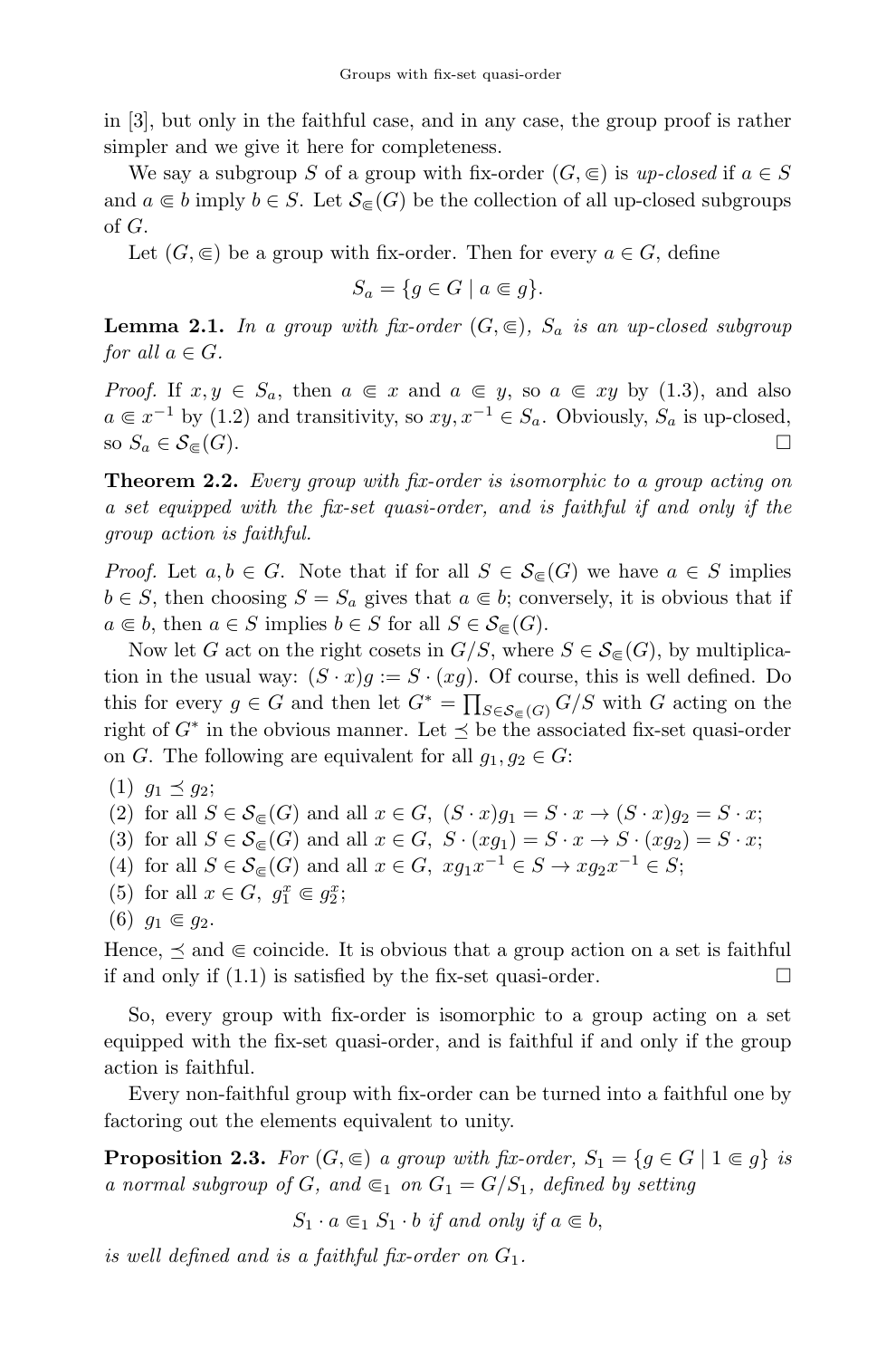in [3], but only in the faithful case, and in any case, the group proof is rather simpler and we give it here for completeness.

We say a subgroup S of a group with fix-order  $(G, \epsilon)$  is up-closed if  $a \in S$ and  $a \in b$  imply  $b \in S$ . Let  $\mathcal{S}_{\subset}(G)$  be the collection of all up-closed subgroups of G.

Let  $(G, \in)$  be a group with fix-order. Then for every  $a \in G$ , define

$$
S_a = \{ g \in G \mid a \in g \}.
$$

**Lemma 2.1.** In a group with fix-order  $(G, \subseteq)$ ,  $S_a$  is an up-closed subgroup for all  $a \in G$ .

*Proof.* If  $x, y \in S_a$ , then  $a \in x$  and  $a \in y$ , so  $a \in xy$  by (1.3), and also  $a \in x^{-1}$  by (1.2) and transitivity, so  $xy, x^{-1} \in S_a$ . Obviously,  $S_a$  is up-closed, so  $S_a \in S_{\infty}(G)$ . so  $S_a \in \mathcal{S}_{\subseteq}(G)$ .

Theorem 2.2. Every group with fix-order is isomorphic to a group acting on a set equipped with the fix-set quasi-order, and is faithful if and only if the group action is faithful.

*Proof.* Let  $a, b \in G$ . Note that if for all  $S \in \mathcal{S}_{\infty}(G)$  we have  $a \in S$  implies  $b \in S$ , then choosing  $S = S_a$  gives that  $a \in b$ ; conversely, it is obvious that if  $a \in b$ , then  $a \in S$  implies  $b \in S$  for all  $S \in \mathcal{S}_{\subset}(G)$ .

Now let G act on the right cosets in  $G/S$ , where  $S \in \mathcal{S}_{\epsilon}(G)$ , by multiplication in the usual way:  $(S \cdot x)g := S \cdot (xg)$ . Of course, this is well defined. Do this for every  $g \in G$  and then let  $G^* = \prod_{S \in \mathcal{S}_{\subseteq}(G)} G/S$  with G acting on the right of  $G^*$  in the obvious manner. Let  $\preceq$  be the associated fix-set quasi-order on G. The following are equivalent for all  $g_1, g_2 \in G$ :

(1)  $g_1 \preceq g_2;$ 

(2) for all 
$$
S \in \mathcal{S}_{\subseteq}(G)
$$
 and all  $x \in G$ ,  $(S \cdot x)g_1 = S \cdot x \rightarrow (S \cdot x)g_2 = S \cdot x$ ;

(3) for all  $S \in \mathcal{S}_{\subseteq}(G)$  and all  $x \in G$ ,  $S \cdot (xg_1) = S \cdot x \rightarrow S \cdot (xg_2) = S \cdot x$ ;

- (4) for all  $S \in \mathcal{S}_{\subseteq}(G)$  and all  $x \in G$ ,  $xg_1x^{-1} \in S \to xg_2x^{-1} \in S$ ;
- (5) for all  $x \in G$ ,  $g_1^x \in g_2^x$ ;

```
(6) g_1 \in g_2.
```
Hence,  $\preceq$  and  $\subseteq$  coincide. It is obvious that a group action on a set is faithful if and only if (1.1) is satisfied by the fix-set quasi-order. if and only if (1.1) is satisfied by the fix-set quasi-order.

So, every group with fix-order is isomorphic to a group acting on a set equipped with the fix-set quasi-order, and is faithful if and only if the group action is faithful.

Every non-faithful group with fix-order can be turned into a faithful one by factoring out the elements equivalent to unity.

**Proposition 2.3.** For  $(G, \subseteq)$  a group with fix-order,  $S_1 = \{g \in G \mid 1 \subseteq g\}$  is a normal subgroup of G, and  $\epsilon_1$  on  $G_1 = G/S_1$ , defined by setting

 $S_1 \cdot a \in A \cdot S_1 \cdot b$  if and only if  $a \in b$ ,

is well defined and is a faithful fix-order on  $G_1$ .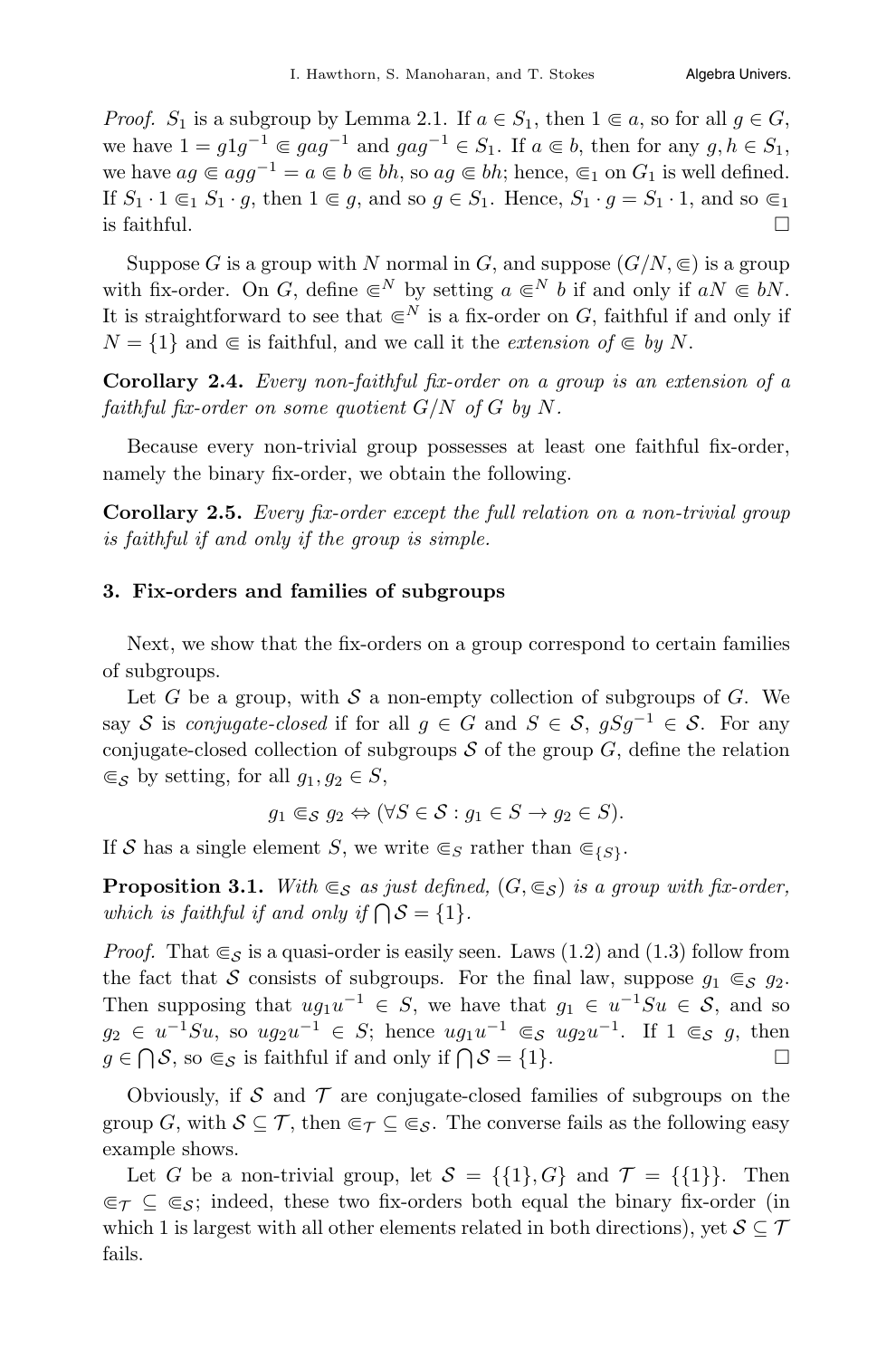*Proof.*  $S_1$  is a subgroup by Lemma 2.1. If  $a \in S_1$ , then  $1 \subseteq a$ , so for all  $q \in G$ , we have  $1 = g1g^{-1} \in gag^{-1}$  and  $gag^{-1} \in S_1$ . If  $a \in b$ , then for any  $g, h \in S_1$ , we have  $ag \in agg^{-1} = a \in b \in bh$ , so  $ag \in bh$ ; hence,  $\in_1$  on  $G_1$  is well defined. If  $S_1 \cdot 1 \subseteq_1 S_1 \cdot g$ , then  $1 \in g$ , and so  $g \in S_1$ . Hence,  $S_1 \cdot g = S_1 \cdot 1$ , and so  $\subseteq_1$  is faithful. is faithful.

Suppose G is a group with N normal in G, and suppose  $(G/N, \epsilon)$  is a group with fix-order. On G, define  $\in^N$  by setting  $a \in^N b$  if and only if  $aN \in bN$ . It is straightforward to see that  $\infty^N$  is a fix-order on G, faithful if and only if  $N = \{1\}$  and  $\in$  is faithful, and we call it the extension of  $\in$  by N.

Corollary 2.4. Every non-faithful fix-order on a group is an extension of a faithful fix-order on some quotient  $G/N$  of G by N.

Because every non-trivial group possesses at least one faithful fix-order, namely the binary fix-order, we obtain the following.

Corollary 2.5. Every fix-order except the full relation on a non-trivial group is faithful if and only if the group is simple.

#### 3. Fix-orders and families of subgroups

Next, we show that the fix-orders on a group correspond to certain families of subgroups.

Let G be a group, with S a non-empty collection of subgroups of G. We say S is conjugate-closed if for all  $g \in G$  and  $S \in S$ ,  $gSg^{-1} \in S$ . For any conjugate-closed collection of subgroups  $S$  of the group  $G$ , define the relation  $\subseteq_S$  by setting, for all  $g_1, g_2 \in S$ ,

 $g_1 \in_S g_2 \Leftrightarrow (\forall S \in S : g_1 \in S \rightarrow g_2 \in S).$ 

If S has a single element S, we write  $\epsilon_S$  rather than  $\epsilon_{\{S\}}$ .

**Proposition 3.1.** With  $\in_{\mathcal{S}}$  as just defined,  $(G, \in_{\mathcal{S}})$  is a group with fix-order, which is faithful if and only if  $\bigcap S = \{1\}.$ 

*Proof.* That  $\epsilon_s$  is a quasi-order is easily seen. Laws (1.2) and (1.3) follow from the fact that S consists of subgroups. For the final law, suppose  $g_1 \in_S g_2$ . Then supposing that  $ug_1u^{-1} \in S$ , we have that  $g_1 \in u^{-1}Su \in S$ , and so  $g_2 \in u^{-1}S u$ , so  $ug_2u^{-1} \in S$ ; hence  $ug_1u^{-1} \in S$  ug<sub>2</sub>u<sup>-1</sup>. If  $1 \in S$  g, then  $g \in \bigcap S$ , so  $\subseteq_S$  is faithful if and only if  $\bigcap S = \{1\}.$ 

Obviously, if  $S$  and  $T$  are conjugate-closed families of subgroups on the group G, with  $S \subseteq \mathcal{T}$ , then  $\epsilon \in \mathcal{T} \subseteq \epsilon$ . The converse fails as the following easy example shows.

Let G be a non-trivial group, let  $S = \{\{1\}, G\}$  and  $\mathcal{T} = \{\{1\}\}\$ . Then  $\epsilon \in \mathcal{T} \subseteq \epsilon$ ; indeed, these two fix-orders both equal the binary fix-order (in which 1 is largest with all other elements related in both directions), yet  $S \subseteq \mathcal{T}$ fails.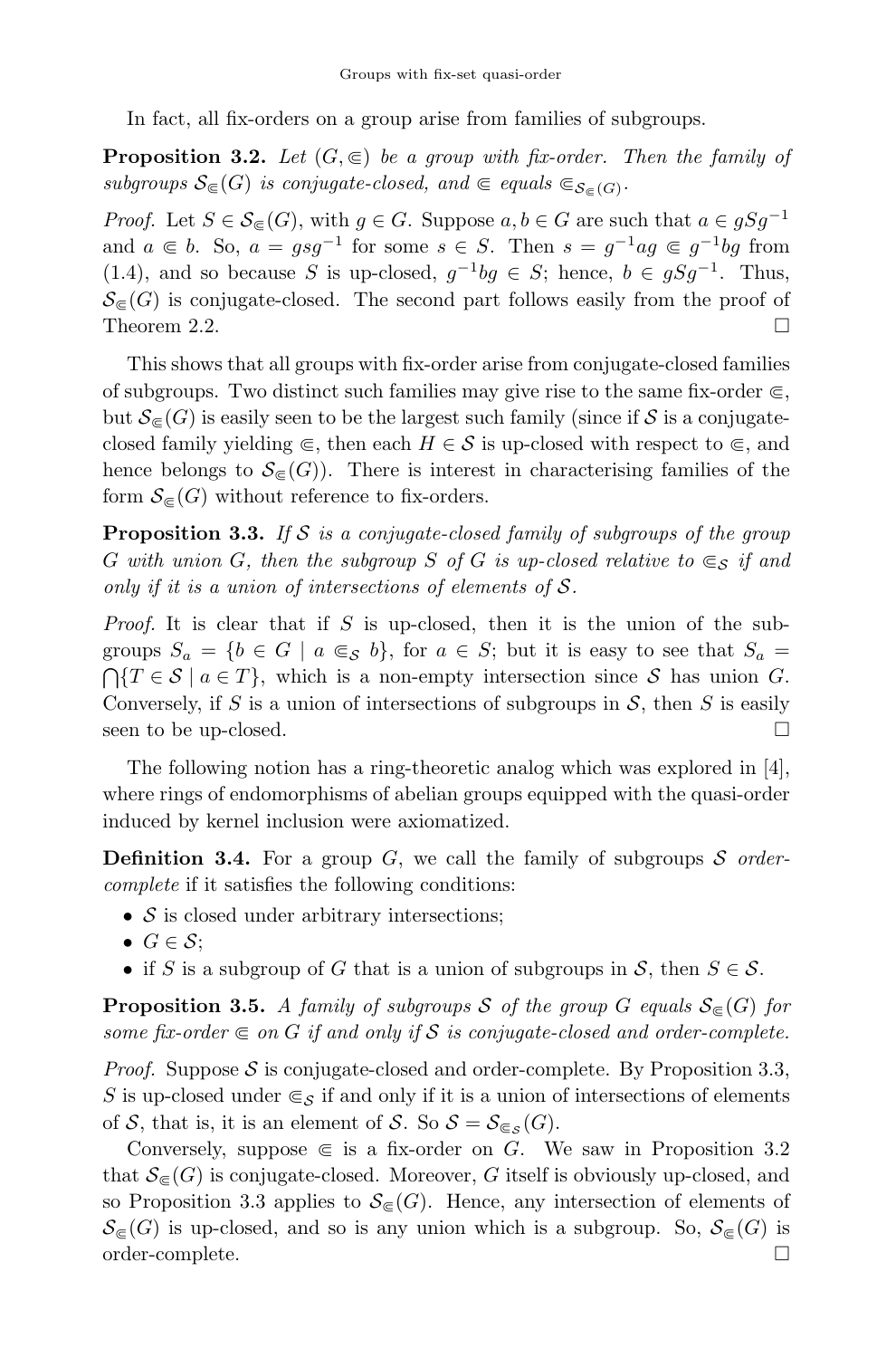In fact, all fix-orders on a group arise from families of subgroups.

**Proposition 3.2.** Let  $(G, \subseteq)$  be a group with fix-order. Then the family of subgroups  $\mathcal{S}_{\in}(G)$  is conjugate-closed, and  $\in$  equals  $\mathcal{S}_{\in}(G)$ .

*Proof.* Let  $S \in \mathcal{S}_{\subset}(G)$ , with  $g \in G$ . Suppose  $a, b \in G$  are such that  $a \in gSg^{-1}$ and  $a \in b$ . So,  $a = gsg^{-1}$  for some  $s \in S$ . Then  $s = g^{-1}ag \in g^{-1}bg$  from (1.4), and so because S is up-closed,  $g^{-1}bg \in S$ ; hence,  $b \in gSg^{-1}$ . Thus,  $\mathcal{S}_{\in}(G)$  is conjugate-closed. The second part follows easily from the proof of Theorem 2.2. Theorem 2.2.

This shows that all groups with fix-order arise from conjugate-closed families of subgroups. Two distinct such families may give rise to the same fix-order  $\in$ , but  $\mathcal{S}_{\in}$  (G) is easily seen to be the largest such family (since if S is a conjugateclosed family yielding  $\subseteq$ , then each  $H \in \mathcal{S}$  is up-closed with respect to  $\subseteq$ , and hence belongs to  $\mathcal{S}_{\in}(G)$ . There is interest in characterising families of the form  $\mathcal{S}_{\in}$  (G) without reference to fix-orders.

**Proposition 3.3.** If S is a conjugate-closed family of subgroups of the group G with union G, then the subgroup S of G is up-closed relative to  $\epsilon_s$  if and only if it is a union of intersections of elements of  $S$ .

*Proof.* It is clear that if  $S$  is up-closed, then it is the union of the subgroups  $S_a = \{b \in G \mid a \subseteq_S b\}$ , for  $a \in S$ ; but it is easy to see that  $S_a = \bigcap \{T \in S \mid a \in T\}$ , which is a non-empty intersection since S has union G. Conversely, if S is a union of intersections of subgroups in S, then S is easily seen to be up-closed. seen to be up-closed.

The following notion has a ring-theoretic analog which was explored in [4], where rings of endomorphisms of abelian groups equipped with the quasi-order induced by kernel inclusion were axiomatized.

**Definition 3.4.** For a group G, we call the family of subgroups S ordercomplete if it satisfies the following conditions:

- $S$  is closed under arbitrary intersections;
- $G \in \mathcal{S}$ :
- if S is a subgroup of G that is a union of subgroups in S, then  $S \in \mathcal{S}$ .

**Proposition 3.5.** A family of subgroups S of the group G equals  $S_{\infty}(G)$  for some fix-order  $\in$  on G if and only if S is conjugate-closed and order-complete.

*Proof.* Suppose S is conjugate-closed and order-complete. By Proposition 3.3, S is up-closed under  $\epsilon_s$  if and only if it is a union of intersections of elements of S, that is, it is an element of S. So  $S = S_{\mathfrak{S}_{\mathcal{S}}}(G)$ .

Conversely, suppose  $\in$  is a fix-order on G. We saw in Proposition 3.2 that  $\mathcal{S}_{\epsilon}(G)$  is conjugate-closed. Moreover, G itself is obviously up-closed, and so Proposition 3.3 applies to  $\mathcal{S}_{\epsilon}(G)$ . Hence, any intersection of elements of  $\mathcal{S}_{\in}(G)$  is up-closed, and so is any union which is a subgroup. So,  $\mathcal{S}_{\in}(G)$  is order-complete.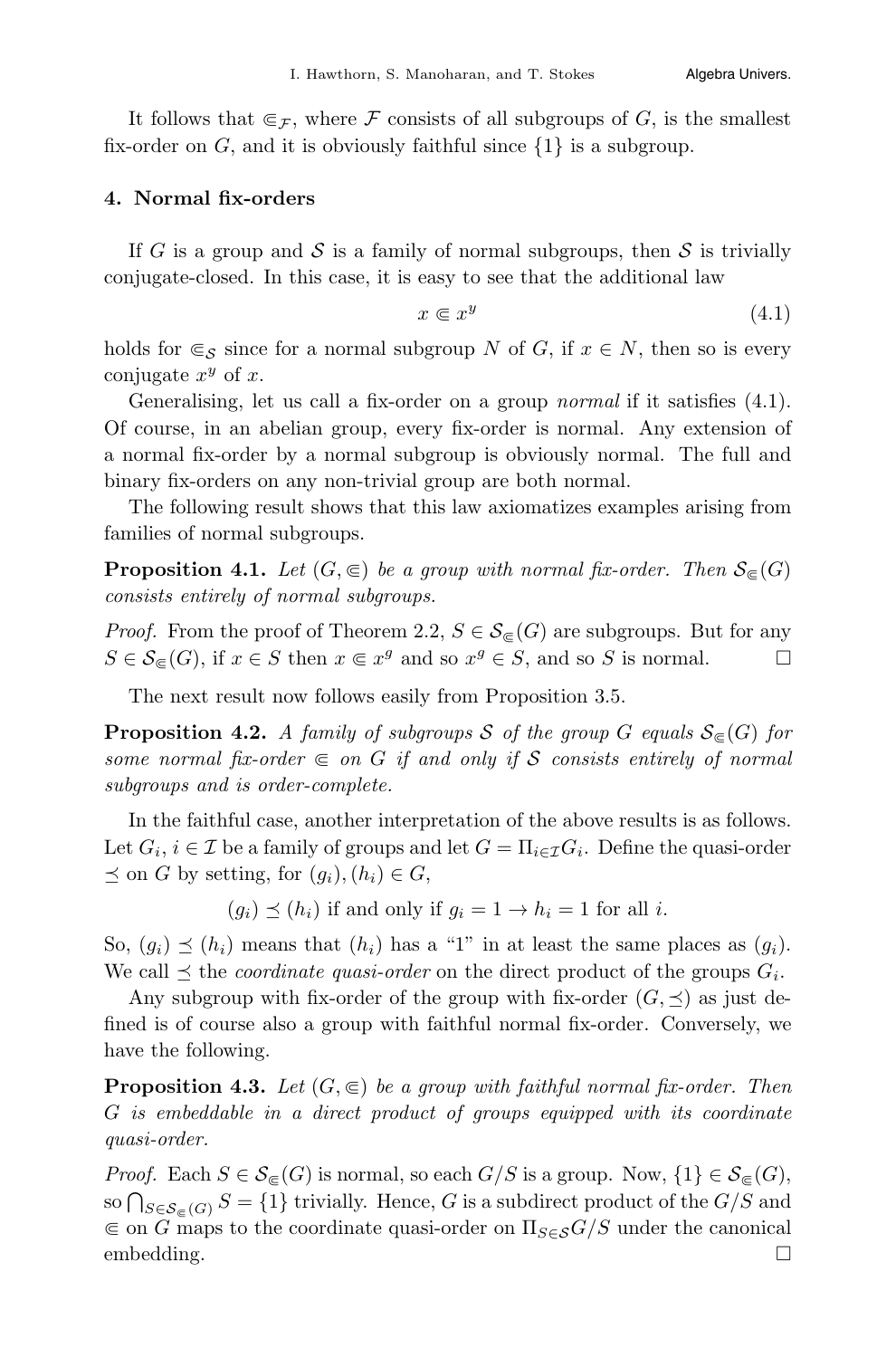It follows that  $\epsilon_F$ , where F consists of all subgroups of G, is the smallest fix-order on  $G$ , and it is obviously faithful since  $\{1\}$  is a subgroup.

#### 4. Normal fix-orders

If G is a group and S is a family of normal subgroups, then S is trivially conjugate-closed. In this case, it is easy to see that the additional law

$$
x \in x^y \tag{4.1}
$$

holds for  $\epsilon_s$  since for a normal subgroup N of G, if  $x \in N$ , then so is every conjugate  $x^y$  of x.

Generalising, let us call a fix-order on a group *normal* if it satisfies  $(4.1)$ . Of course, in an abelian group, every fix-order is normal. Any extension of a normal fix-order by a normal subgroup is obviously normal. The full and binary fix-orders on any non-trivial group are both normal.

The following result shows that this law axiomatizes examples arising from families of normal subgroups.

**Proposition 4.1.** Let  $(G, \subseteq)$  be a group with normal fix-order. Then  $S_{\in}(G)$ consists entirely of normal subgroups.

*Proof.* From the proof of Theorem 2.2,  $S \in \mathcal{S}_{\infty}(G)$  are subgroups. But for any  $S \in \mathcal{S}_{\infty}(G)$ , if  $x \in S$  then  $x \in x^g$  and so  $x^g \in S$ , and so S is normal.  $S \in \mathcal{S}_{\infty}(G)$ , if  $x \in S$  then  $x \in x^g$  and so  $x^g \in S$ , and so S is normal.

The next result now follows easily from Proposition 3.5.

**Proposition 4.2.** A family of subgroups S of the group G equals  $S_{\infty}(G)$  for some normal fix-order  $\in$  on G if and only if S consists entirely of normal subgroups and is order-complete.

In the faithful case, another interpretation of the above results is as follows. Let  $G_i, i \in \mathcal{I}$  be a family of groups and let  $G = \prod_{i \in \mathcal{I}} G_i$ . Define the quasi-order  $\preceq$  on G by setting, for  $(q_i)$ ,  $(h_i) \in G$ ,

 $(g_i) \preceq (h_i)$  if and only if  $g_i = 1 \rightarrow h_i = 1$  for all i.

So,  $(g_i) \preceq (h_i)$  means that  $(h_i)$  has a "1" in at least the same places as  $(g_i)$ . We call  $\preceq$  the *coordinate quasi-order* on the direct product of the groups  $G_i$ .

Any subgroup with fix-order of the group with fix-order  $(G, \preceq)$  as just defined is of course also a group with faithful normal fix-order. Conversely, we have the following.

**Proposition 4.3.** Let  $(G, \subseteq)$  be a group with faithful normal fix-order. Then G is embeddable in a direct product of groups equipped with its coordinate quasi-order.

*Proof.* Each  $S \in \mathcal{S}_{\subseteq}(G)$  is normal, so each  $G/S$  is a group. Now,  $\{1\} \in \mathcal{S}_{\subseteq}(G)$ , so  $\bigcap_{S \in \mathcal{S}_{\subseteq}(G)} S = \{1\}$  trivially. Hence, G is a subdirect product of the  $G/S$  and  $\epsilon$  on G maps to the coordinate quasi-order on  $\Pi_{S\in\mathcal{S}}G/S$  under the canonical embedding.  $\square$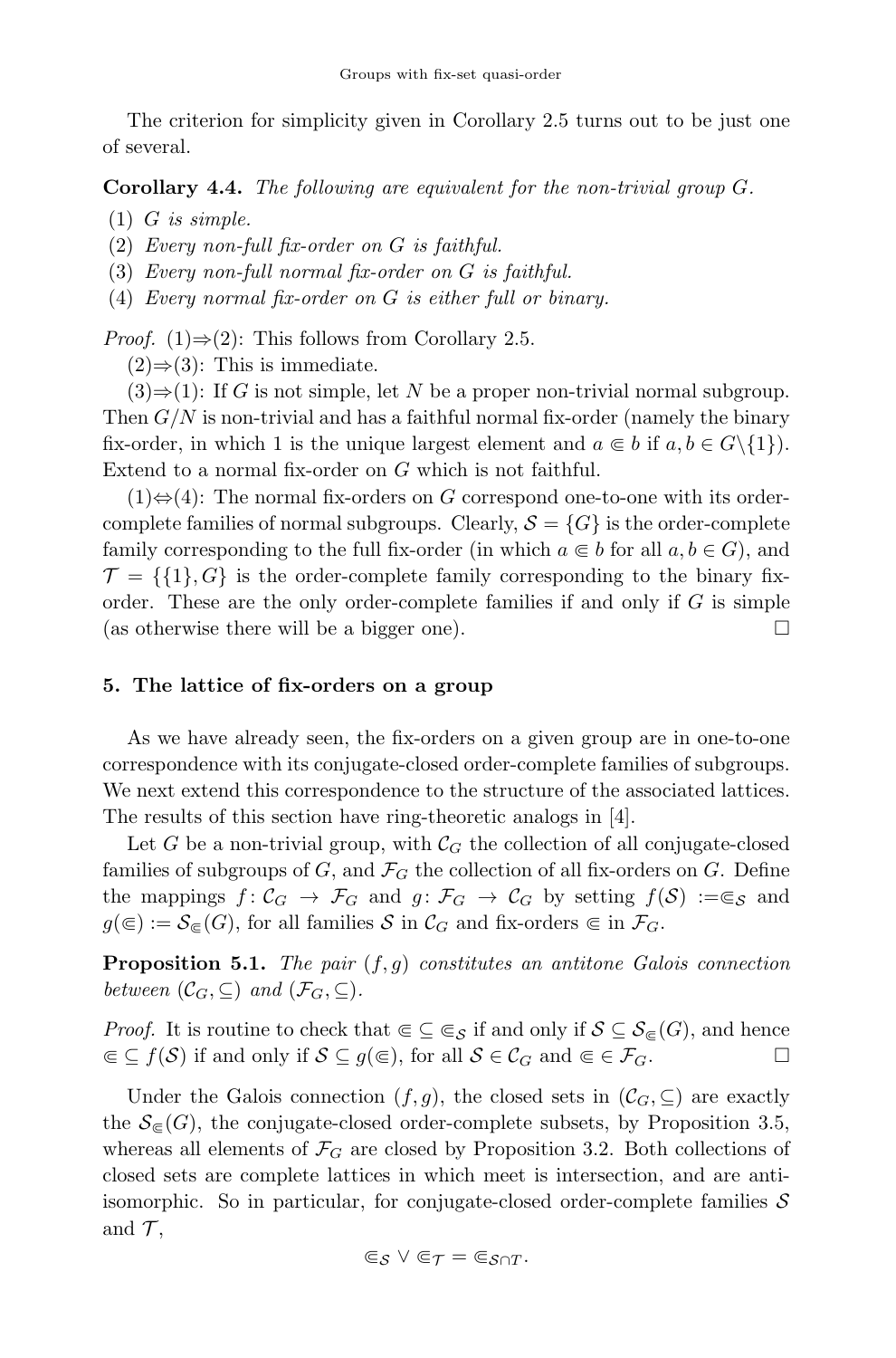The criterion for simplicity given in Corollary 2.5 turns out to be just one of several.

Corollary 4.4. The following are equivalent for the non-trivial group G.

 $(1)$  *G* is simple.

(2) Every non-full fix-order on G is faithful.

(3) Every non-full normal fix-order on G is faithful.

(4) Every normal fix-order on G is either full or binary.

*Proof.* (1) $\Rightarrow$ (2): This follows from Corollary 2.5.

 $(2) \Rightarrow (3)$ : This is immediate.

 $(3) \Rightarrow (1)$ : If G is not simple, let N be a proper non-trivial normal subgroup. Then  $G/N$  is non-trivial and has a faithful normal fix-order (namely the binary fix-order, in which 1 is the unique largest element and  $a \in b$  if  $a, b \in G \setminus \{1\}$ . Extend to a normal fix-order on G which is not faithful.

 $(1) \Leftrightarrow (4)$ : The normal fix-orders on G correspond one-to-one with its ordercomplete families of normal subgroups. Clearly,  $S = \{G\}$  is the order-complete family corresponding to the full fix-order (in which  $a \in b$  for all  $a, b \in G$ ), and  $\mathcal{T} = \{\{1\}, G\}$  is the order-complete family corresponding to the binary fixorder. These are the only order-complete families if and only if  $G$  is simple (as otherwise there will be a bigger one).  $\Box$ 

# 5. The lattice of fix-orders on a group

As we have already seen, the fix-orders on a given group are in one-to-one correspondence with its conjugate-closed order-complete families of subgroups. We next extend this correspondence to the structure of the associated lattices. The results of this section have ring-theoretic analogs in [4].

Let G be a non-trivial group, with  $\mathcal{C}_G$  the collection of all conjugate-closed families of subgroups of  $G$ , and  $\mathcal{F}_G$  the collection of all fix-orders on  $G$ . Define the mappings  $f: \mathcal{C}_G \to \mathcal{F}_G$  and  $g: \mathcal{F}_G \to \mathcal{C}_G$  by setting  $f(\mathcal{S}) := \epsilon_{\mathcal{S}}$  and  $g(\epsilon) := \mathcal{S}_{\epsilon}(G)$ , for all families S in  $\mathcal{C}_G$  and fix-orders  $\epsilon$  in  $\mathcal{F}_G$ .

**Proposition 5.1.** The pair  $(f,g)$  constitutes an antitone Galois connection between  $(\mathcal{C}_G, \subseteq)$  and  $(\mathcal{F}_G, \subseteq)$ .

*Proof.* It is routine to check that  $\in \subseteq \subseteq_{\mathcal{S}}$  if and only if  $\mathcal{S} \subseteq \mathcal{S}_{\in}(G)$ , and hence  $\in \subseteq f(\mathcal{S})$  if and only if  $\mathcal{S} \subseteq a(\infty)$ , for all  $\mathcal{S} \in \mathcal{C}_G$  and  $\in \in \mathcal{F}_G$ .  $\mathcal{C} \subseteq f(\mathcal{S})$  if and only if  $\mathcal{S} \subseteq g(\mathcal{C})$ , for all  $\mathcal{S} \in \mathcal{C}_G$  and  $\mathcal{C} \in \mathcal{F}_G$ .

Under the Galois connection  $(f,g)$ , the closed sets in  $(\mathcal{C}_G,\subseteq)$  are exactly the  $\mathcal{S}_{\in}(G)$ , the conjugate-closed order-complete subsets, by Proposition 3.5, whereas all elements of  $\mathcal{F}_G$  are closed by Proposition 3.2. Both collections of closed sets are complete lattices in which meet is intersection, and are antiisomorphic. So in particular, for conjugate-closed order-complete families  $S$ and  $\mathcal{T}$ ,

$$
\Subset _{\mathcal{S}}\vee \Subset _{\mathcal{T}}=\Subset _{\mathcal{S}\cap T}.
$$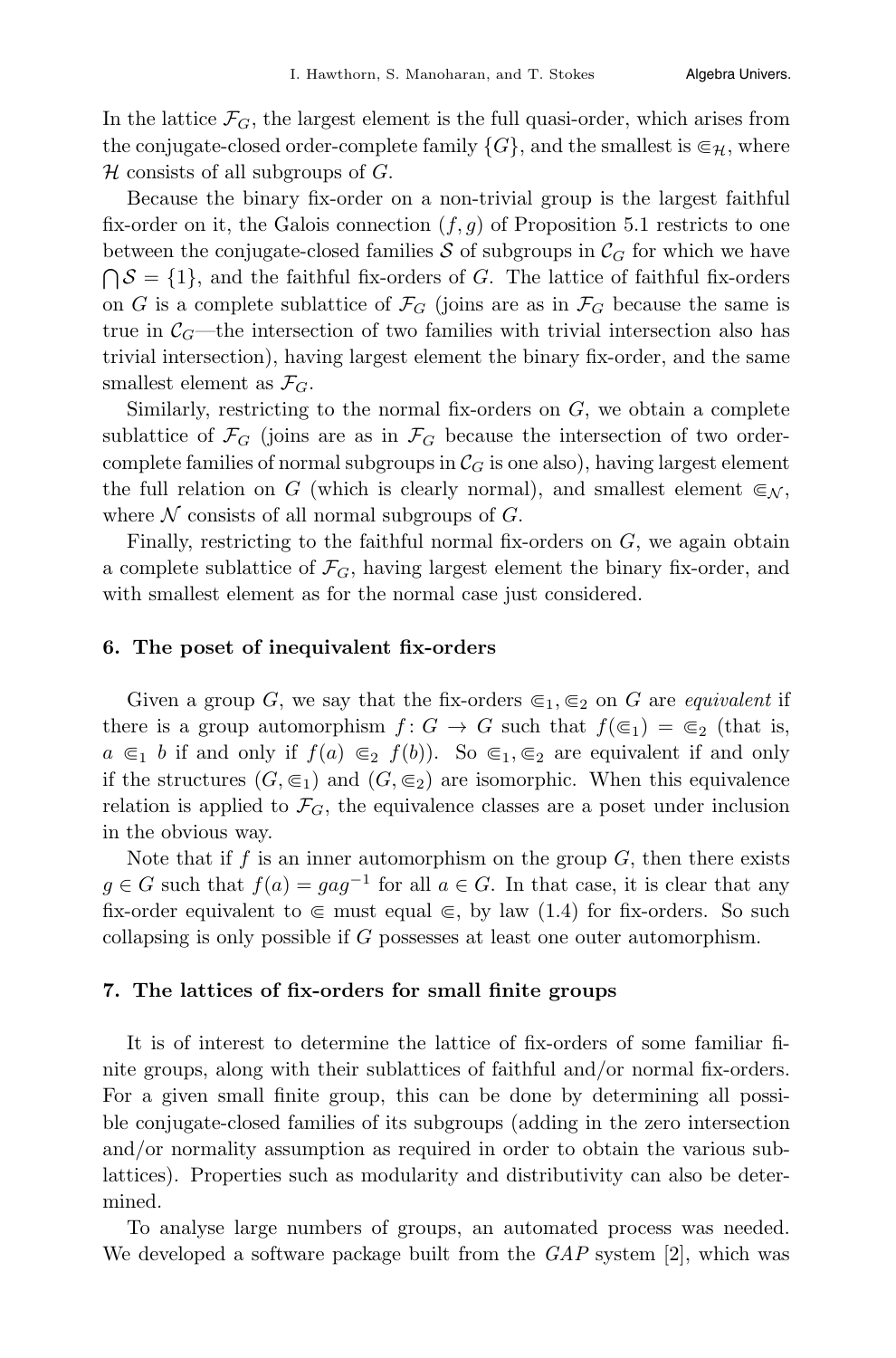In the lattice  $\mathcal{F}_G$ , the largest element is the full quasi-order, which arises from the conjugate-closed order-complete family  $\{G\}$ , and the smallest is  $\epsilon_H$ , where  $\mathcal H$  consists of all subgroups of  $G$ .

Because the binary fix-order on a non-trivial group is the largest faithful fix-order on it, the Galois connection  $(f,g)$  of Proposition 5.1 restricts to one between the conjugate-closed families S of subgroups in  $\mathcal{C}_G$  for which we have  $\bigcap S = \{1\}$ , and the faithful fix-orders of G. The lattice of faithful fix-orders on G is a complete sublattice of  $\mathcal{F}_G$  (joins are as in  $\mathcal{F}_G$  because the same is true in  $C_G$ —the intersection of two families with trivial intersection also has trivial intersection), having largest element the binary fix-order, and the same smallest element as  $\mathcal{F}_G$ .

Similarly, restricting to the normal fix-orders on  $G$ , we obtain a complete sublattice of  $\mathcal{F}_G$  (joins are as in  $\mathcal{F}_G$  because the intersection of two ordercomplete families of normal subgroups in  $\mathcal{C}_G$  is one also), having largest element the full relation on G (which is clearly normal), and smallest element  $\epsilon_{N}$ , where  $N$  consists of all normal subgroups of  $G$ .

Finally, restricting to the faithful normal fix-orders on  $G$ , we again obtain a complete sublattice of  $\mathcal{F}_G$ , having largest element the binary fix-order, and with smallest element as for the normal case just considered.

#### 6. The poset of inequivalent fix-orders

Given a group G, we say that the fix-orders  $\epsilon_1, \epsilon_2$  on G are *equivalent* if there is a group automorphism  $f: G \to G$  such that  $f(\epsilon_1) = \epsilon_2$  (that is,  $a \in I$  b if and only if  $f(a) \in I$   $f(b)$ . So  $\in I$ ,  $\in I$  are equivalent if and only if the structures  $(G, \epsilon_1)$  and  $(G, \epsilon_2)$  are isomorphic. When this equivalence relation is applied to  $\mathcal{F}_G$ , the equivalence classes are a poset under inclusion in the obvious way.

Note that if f is an inner automorphism on the group  $G$ , then there exists  $g \in G$  such that  $f(a) = gag^{-1}$  for all  $a \in G$ . In that case, it is clear that any fix-order equivalent to  $\in$  must equal  $\in$ , by law (1.4) for fix-orders. So such collapsing is only possible if G possesses at least one outer automorphism.

#### 7. The lattices of fix-orders for small finite groups

It is of interest to determine the lattice of fix-orders of some familiar finite groups, along with their sublattices of faithful and/or normal fix-orders. For a given small finite group, this can be done by determining all possible conjugate-closed families of its subgroups (adding in the zero intersection and/or normality assumption as required in order to obtain the various sublattices). Properties such as modularity and distributivity can also be determined.

To analyse large numbers of groups, an automated process was needed. We developed a software package built from the  $GAP$  system [2], which was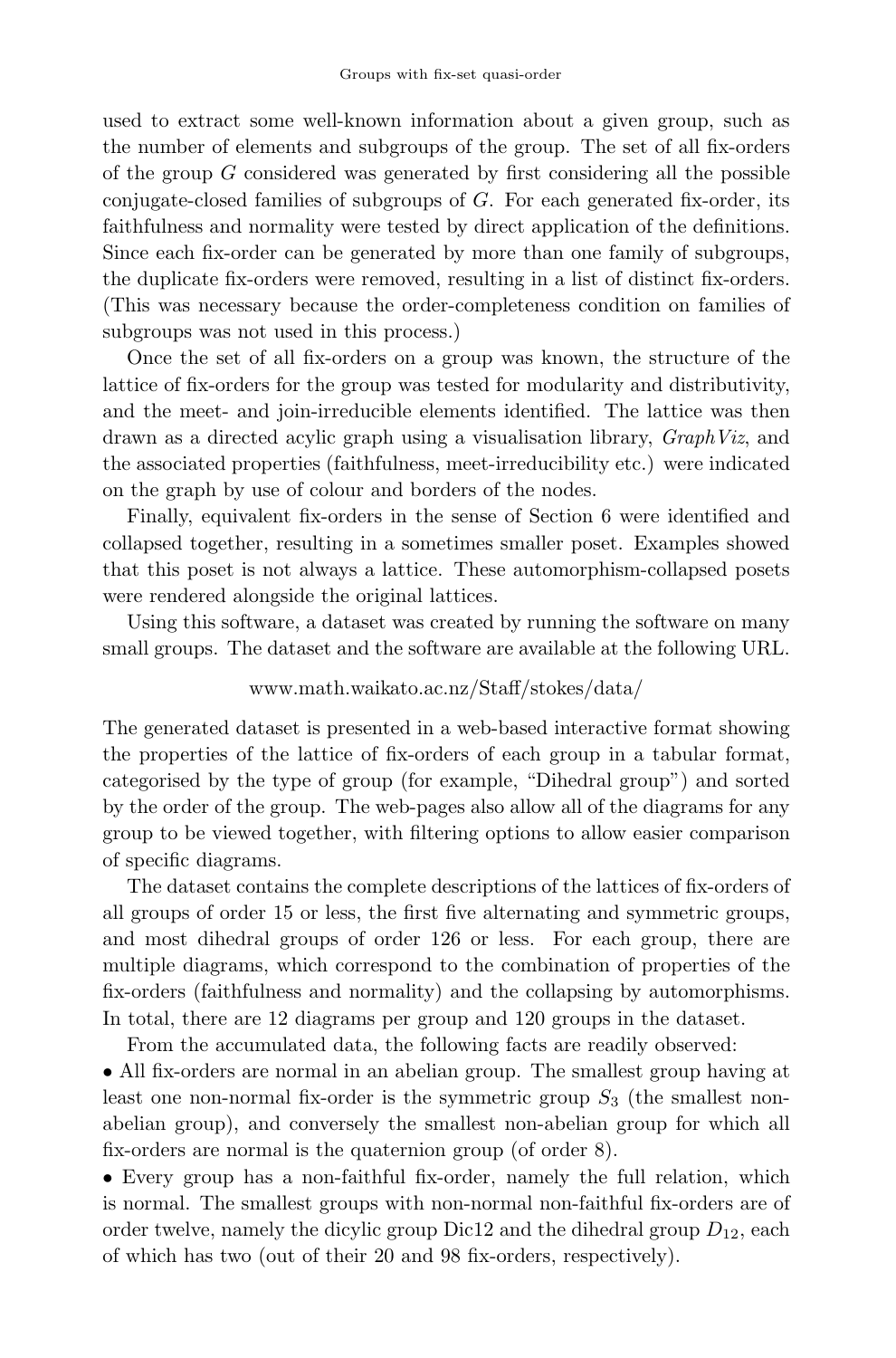used to extract some well-known information about a given group, such as the number of elements and subgroups of the group. The set of all fix-orders of the group  $G$  considered was generated by first considering all the possible conjugate-closed families of subgroups of  $G$ . For each generated fix-order, its faithfulness and normality were tested by direct application of the definitions. Since each fix-order can be generated by more than one family of subgroups, the duplicate fix-orders were removed, resulting in a list of distinct fix-orders. (This was necessary because the order-completeness condition on families of subgroups was not used in this process.)

Once the set of all fix-orders on a group was known, the structure of the lattice of fix-orders for the group was tested for modularity and distributivity, and the meet- and join-irreducible elements identified. The lattice was then drawn as a directed acylic graph using a visualisation library, GraphViz, and the associated properties (faithfulness, meet-irreducibility etc.) were indicated on the graph by use of colour and borders of the nodes.

Finally, equivalent fix-orders in the sense of Section 6 were identified and collapsed together, resulting in a sometimes smaller poset. Examples showed that this poset is not always a lattice. These automorphism-collapsed posets were rendered alongside the original lattices.

Using this software, a dataset was created by running the software on many small groups. The dataset and the software are available at the following URL.

### www.math.waikato.ac.nz/Staff/stokes/data/

The generated dataset is presented in a web-based interactive format showing the properties of the lattice of fix-orders of each group in a tabular format, categorised by the type of group (for example, "Dihedral group") and sorted by the order of the group. The web-pages also allow all of the diagrams for any group to be viewed together, with filtering options to allow easier comparison of specific diagrams.

The dataset contains the complete descriptions of the lattices of fix-orders of all groups of order 15 or less, the first five alternating and symmetric groups, and most dihedral groups of order 126 or less. For each group, there are multiple diagrams, which correspond to the combination of properties of the fix-orders (faithfulness and normality) and the collapsing by automorphisms. In total, there are 12 diagrams per group and 120 groups in the dataset.

From the accumulated data, the following facts are readily observed:

• All fix-orders are normal in an abelian group. The smallest group having at least one non-normal fix-order is the symmetric group  $S_3$  (the smallest nonabelian group), and conversely the smallest non-abelian group for which all fix-orders are normal is the quaternion group (of order 8).

• Every group has a non-faithful fix-order, namely the full relation, which is normal. The smallest groups with non-normal non-faithful fix-orders are of order twelve, namely the dicylic group Dic12 and the dihedral group  $D_{12}$ , each of which has two (out of their 20 and 98 fix-orders, respectively).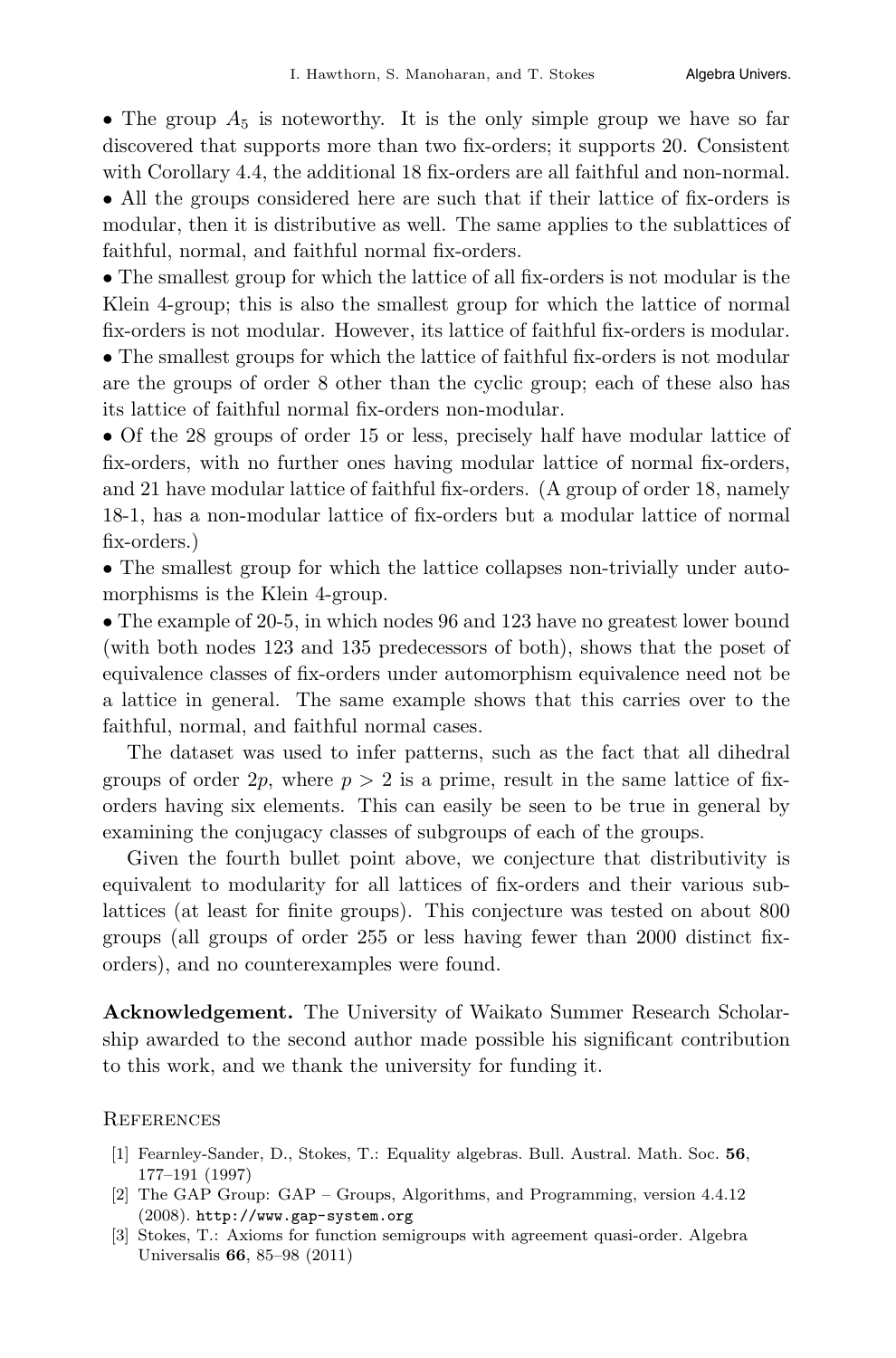• The group  $A_5$  is noteworthy. It is the only simple group we have so far discovered that supports more than two fix-orders; it supports 20. Consistent with Corollary 4.4, the additional 18 fix-orders are all faithful and non-normal.

• All the groups considered here are such that if their lattice of fix-orders is modular, then it is distributive as well. The same applies to the sublattices of faithful, normal, and faithful normal fix-orders.

• The smallest group for which the lattice of all fix-orders is not modular is the Klein 4-group; this is also the smallest group for which the lattice of normal fix-orders is not modular. However, its lattice of faithful fix-orders is modular.

• The smallest groups for which the lattice of faithful fix-orders is not modular are the groups of order 8 other than the cyclic group; each of these also has its lattice of faithful normal fix-orders non-modular.

• Of the 28 groups of order 15 or less, precisely half have modular lattice of fix-orders, with no further ones having modular lattice of normal fix-orders, and 21 have modular lattice of faithful fix-orders. (A group of order 18, namely 18-1, has a non-modular lattice of fix-orders but a modular lattice of normal fix-orders.)

• The smallest group for which the lattice collapses non-trivially under automorphisms is the Klein 4-group.

• The example of 20-5, in which nodes 96 and 123 have no greatest lower bound (with both nodes 123 and 135 predecessors of both), shows that the poset of equivalence classes of fix-orders under automorphism equivalence need not be a lattice in general. The same example shows that this carries over to the faithful, normal, and faithful normal cases.

The dataset was used to infer patterns, such as the fact that all dihedral groups of order  $2p$ , where  $p > 2$  is a prime, result in the same lattice of fixorders having six elements. This can easily be seen to be true in general by examining the conjugacy classes of subgroups of each of the groups.

Given the fourth bullet point above, we conjecture that distributivity is equivalent to modularity for all lattices of fix-orders and their various sublattices (at least for finite groups). This conjecture was tested on about 800 groups (all groups of order 255 or less having fewer than 2000 distinct fixorders), and no counterexamples were found.

Acknowledgement. The University of Waikato Summer Research Scholarship awarded to the second author made possible his significant contribution to this work, and we thank the university for funding it.

#### **REFERENCES**

- [1] Fearnley-Sander, D., Stokes, T.: Equality algebras. Bull. Austral. Math. Soc. 56, 177–191 (1997)
- [2] The GAP Group: GAP Groups, Algorithms, and Programming, version 4.4.12 (2008). http://www.gap-system.org
- [3] Stokes, T.: Axioms for function semigroups with agreement quasi-order. Algebra Universalis 66, 85–98 (2011)